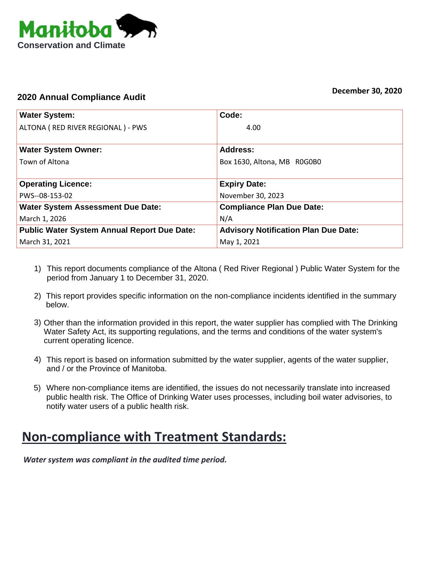

## **2020 Annual Compliance Audit**

| <b>Water System:</b>                               | Code:                                       |  |
|----------------------------------------------------|---------------------------------------------|--|
| ALTONA ( RED RIVER REGIONAL ) - PWS                | 4.00                                        |  |
| <b>Water System Owner:</b>                         | Address:                                    |  |
| Town of Altona                                     | Box 1630, Altona, MB R0G0B0                 |  |
|                                                    |                                             |  |
| <b>Operating Licence:</b>                          | <b>Expiry Date:</b>                         |  |
| PWS--08-153-02                                     | November 30, 2023                           |  |
| <b>Water System Assessment Due Date:</b>           | <b>Compliance Plan Due Date:</b>            |  |
| March 1, 2026                                      | N/A                                         |  |
| <b>Public Water System Annual Report Due Date:</b> | <b>Advisory Notification Plan Due Date:</b> |  |
| March 31, 2021                                     | May 1, 2021                                 |  |

- This report documents compliance of the Altona ( Red River Regional ) Public Water System for the 1) period from January 1 to December 31, 2020.
- 2) This report provides specific information on the non-compliance incidents identified in the summary below.
- 3) Other than the information provided in this report, the water supplier has complied with The Drinking Water Safety Act, its supporting regulations, and the terms and conditions of the water system's current operating licence.
- This report is based on information submitted by the water supplier, agents of the water supplier, 4) and / or the Province of Manitoba.
- Where non-compliance items are identified, the issues do not necessarily translate into increased 5) public health risk. The Office of Drinking Water uses processes, including boil water advisories, to notify water users of a public health risk.

## **Non‐compliance with Treatment Standards:**

*Water system was compliant in the audited time period.*